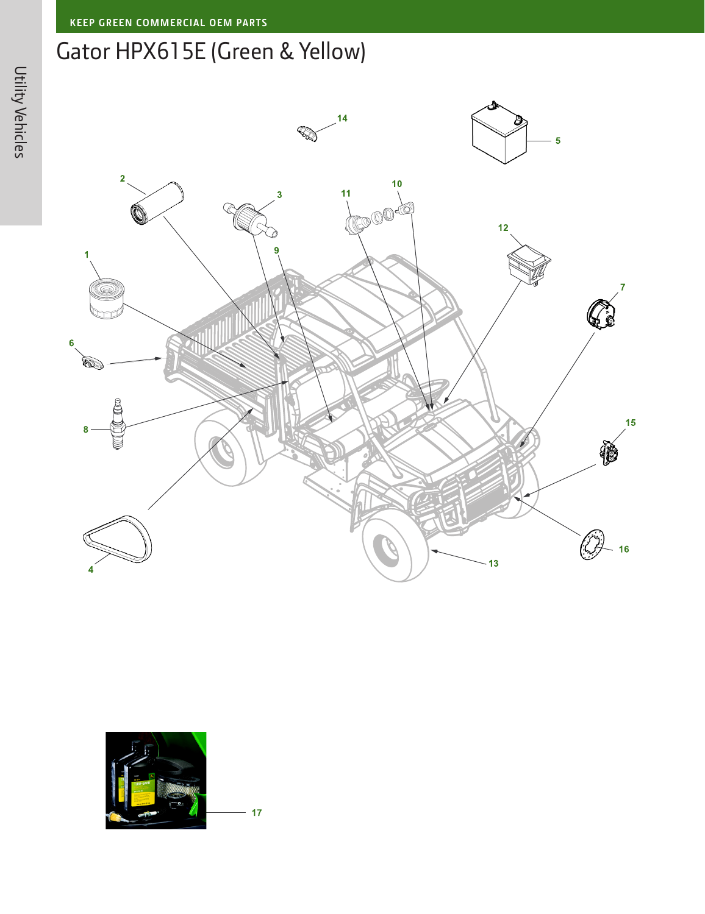## Gator HPX615E (Green & Yellow)





 $17$